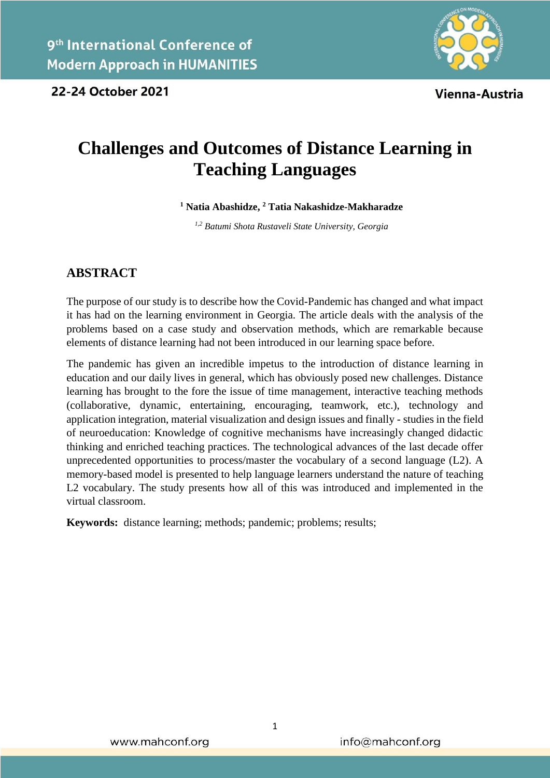

Vienna-Austria

# **Challenges and Outcomes of Distance Learning in Teaching Languages**

**<sup>1</sup> Natia Abashidze, <sup>2</sup> Tatia Nakashidze-Makharadze**

*1,2 Batumi Shota Rustaveli State University, Georgia*

## **ABSTRACT**

The purpose of our study is to describe how the Covid-Pandemic has changed and what impact it has had on the learning environment in Georgia. The article deals with the analysis of the problems based on a case study and observation methods, which are remarkable because elements of distance learning had not been introduced in our learning space before.

The pandemic has given an incredible impetus to the introduction of distance learning in education and our daily lives in general, which has obviously posed new challenges. Distance learning has brought to the fore the issue of time management, interactive teaching methods (collaborative, dynamic, entertaining, encouraging, teamwork, etc.), technology and application integration, material visualization and design issues and finally - studies in the field of neuroeducation: Knowledge of cognitive mechanisms have increasingly changed didactic thinking and enriched teaching practices. The technological advances of the last decade offer unprecedented opportunities to process/master the vocabulary of a second language (L2). A memory-based model is presented to help language learners understand the nature of teaching L2 vocabulary. The study presents how all of this was introduced and implemented in the virtual classroom.

**Keywords:** distance learning; methods; pandemic; problems; results;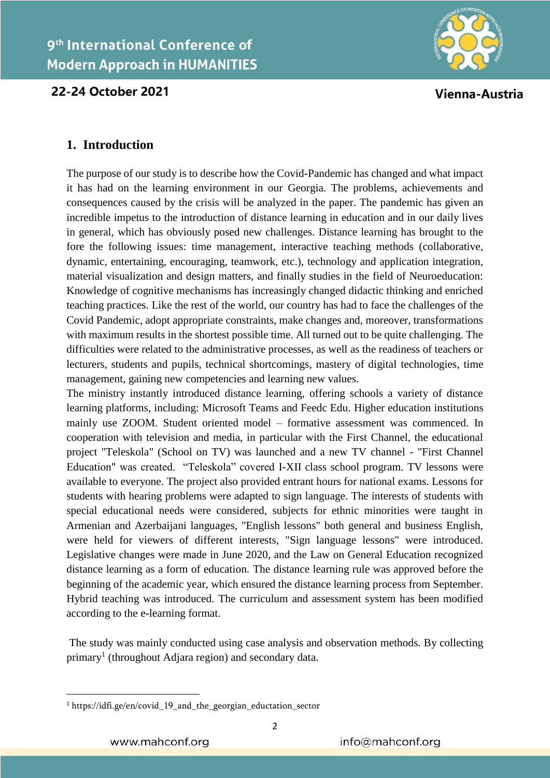

Vienna-Austria

## **1. Introduction**

The purpose of our study is to describe how the Covid-Pandemic has changed and what impact it has had on the learning environment in our Georgia. The problems, achievements and consequences caused by the crisis will be analyzed in the paper. The pandemic has given an incredible impetus to the introduction of distance learning in education and in our daily lives in general, which has obviously posed new challenges. Distance learning has brought to the fore the following issues: time management, interactive teaching methods (collaborative, dynamic, entertaining, encouraging, teamwork, etc.), technology and application integration, material visualization and design matters, and finally studies in the field of Neuroeducation: Knowledge of cognitive mechanisms has increasingly changed didactic thinking and enriched teaching practices. Like the rest of the world, our country has had to face the challenges of the Covid Pandemic, adopt appropriate constraints, make changes and, moreover, transformations with maximum results in the shortest possible time. All turned out to be quite challenging. The difficulties were related to the administrative processes, as well as the readiness of teachers or lecturers, students and pupils, technical shortcomings, mastery of digital technologies, time management, gaining new competencies and learning new values.

The ministry instantly introduced distance learning, offering schools a variety of distance learning platforms, including: Microsoft Teams and Feedc Edu. Higher education institutions mainly use ZOOM. Student oriented model – formative assessment was commenced. In cooperation with television and media, in particular with the First Channel, the educational project "Teleskola" (School on TV) was launched and a new TV channel - "First Channel Education" was created. "Teleskola" covered I-XII class school program. TV lessons were available to everyone. The project also provided entrant hours for national exams. Lessons for students with hearing problems were adapted to sign language. The interests of students with special educational needs were considered, subjects for ethnic minorities were taught in Armenian and Azerbaijani languages, "English lessons" both general and business English, were held for viewers of different interests, "Sign language lessons" were introduced. Legislative changes were made in June 2020, and the Law on General Education recognized distance learning as a form of education. The distance learning rule was approved before the beginning of the academic year, which ensured the distance learning process from September. Hybrid teaching was introduced. The curriculum and assessment system has been modified according to the e-learning format.

The study was mainly conducted using case analysis and observation methods. By collecting primary<sup>1</sup> (throughout Adjara region) and secondary data.

1

<sup>&</sup>lt;sup>1</sup> https://idfi.ge/en/covid 19 and the georgian eductation sector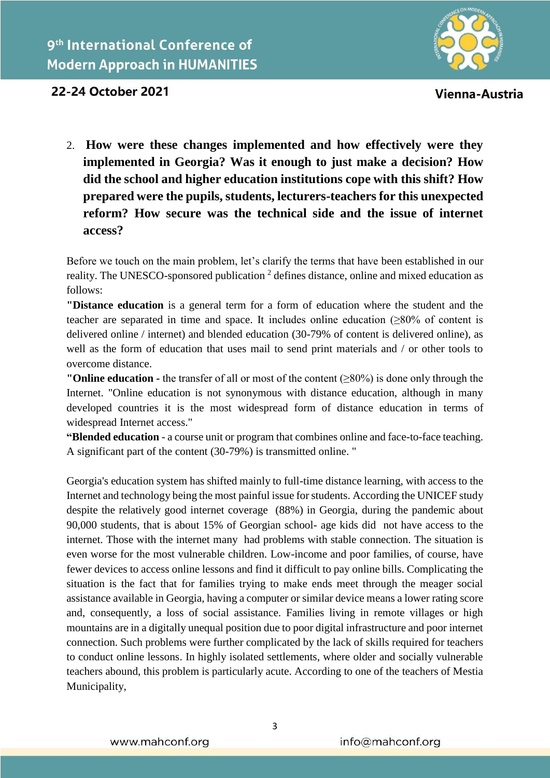

Vienna-Austria

# 22-24 October 2021

2. **How were these changes implemented and how effectively were they implemented in Georgia? Was it enough to just make a decision? How did the school and higher education institutions cope with this shift? How prepared were the pupils, students, lecturers-teachers for this unexpected reform? How secure was the technical side and the issue of internet access?**

Before we touch on the main problem, let's clarify the terms that have been established in our reality. The UNESCO-sponsored publication  $2$  defines distance, online and mixed education as follows:

**"Distance education** is a general term for a form of education where the student and the teacher are separated in time and space. It includes online education  $(≥80%$  of content is delivered online / internet) and blended education (30-79% of content is delivered online), as well as the form of education that uses mail to send print materials and / or other tools to overcome distance.

**"Online education -** the transfer of all or most of the content (≥80%) is done only through the Internet. "Online education is not synonymous with distance education, although in many developed countries it is the most widespread form of distance education in terms of widespread Internet access."

**"Blended education** - a course unit or program that combines online and face-to-face teaching. A significant part of the content (30-79%) is transmitted online. "

Georgia's education system has shifted mainly to full-time distance learning, with access to the Internet and technology being the most painful issue for students. According the UNICEF study despite the relatively good internet coverage (88%) in Georgia, during the pandemic about 90,000 students, that is about 15% of Georgian school- age kids did not have access to the internet. Those with the internet many had problems with stable connection. The situation is even worse for the most vulnerable children. Low-income and poor families, of course, have fewer devices to access online lessons and find it difficult to pay online bills. Complicating the situation is the fact that for families trying to make ends meet through the meager social assistance available in Georgia, having a computer or similar device means a lower rating score and, consequently, a loss of social assistance. Families living in remote villages or high mountains are in a digitally unequal position due to poor digital infrastructure and poor internet connection. Such problems were further complicated by the lack of skills required for teachers to conduct online lessons. In highly isolated settlements, where older and socially vulnerable teachers abound, this problem is particularly acute. According to one of the teachers of Mestia Municipality,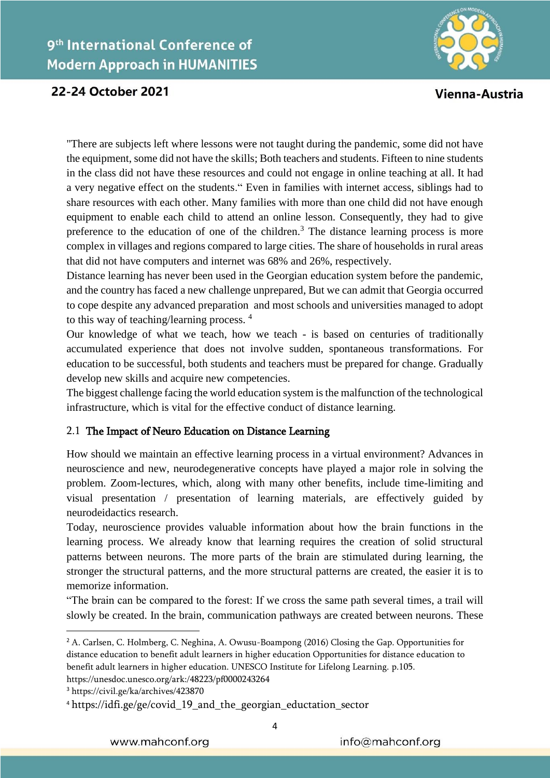

Vienna-Austria

"There are subjects left where lessons were not taught during the pandemic, some did not have the equipment, some did not have the skills; Both teachers and students. Fifteen to nine students in the class did not have these resources and could not engage in online teaching at all. It had a very negative effect on the students." Even in families with internet access, siblings had to share resources with each other. Many families with more than one child did not have enough equipment to enable each child to attend an online lesson. Consequently, they had to give preference to the education of one of the children.<sup>3</sup> The distance learning process is more complex in villages and regions compared to large cities. The share of households in rural areas that did not have computers and internet was 68% and 26%, respectively.

Distance learning has never been used in the Georgian education system before the pandemic, and the country has faced a new challenge unprepared, But we can admit that Georgia occurred to cope despite any advanced preparation and most schools and universities managed to adopt to this way of teaching/learning process. <sup>4</sup>

Our knowledge of what we teach, how we teach - is based on centuries of traditionally accumulated experience that does not involve sudden, spontaneous transformations. For education to be successful, both students and teachers must be prepared for change. Gradually develop new skills and acquire new competencies.

The biggest challenge facing the world education system is the malfunction of the technological infrastructure, which is vital for the effective conduct of distance learning.

#### 2.1 The Impact of Neuro Education on Distance Learning

How should we maintain an effective learning process in a virtual environment? Advances in neuroscience and new, neurodegenerative concepts have played a major role in solving the problem. Zoom-lectures, which, along with many other benefits, include time-limiting and visual presentation / presentation of learning materials, are effectively guided by neurodeidactics research.

Today, neuroscience provides valuable information about how the brain functions in the learning process. We already know that learning requires the creation of solid structural patterns between neurons. The more parts of the brain are stimulated during learning, the stronger the structural patterns, and the more structural patterns are created, the easier it is to memorize information.

"The brain can be compared to the forest: If we cross the same path several times, a trail will slowly be created. In the brain, communication pathways are created between neurons. These

<sup>3</sup> https://civil.ge/ka/archives/423870

**.** 

<sup>&</sup>lt;sup>2</sup> A. Carlsen, C. Holmberg, C. Neghina, A. Owusu-Boampong (2016) Closing the Gap. Opportunities for distance education to benefit adult learners in higher education Opportunities for distance education to benefit adult learners in higher education. UNESCO Institute for Lifelong Learning. p.105. https://unesdoc.unesco.org/ark:/48223/pf0000243264

<sup>&</sup>lt;sup>4</sup> https://idfi.ge/ge/covid 19 and the georgian eductation sector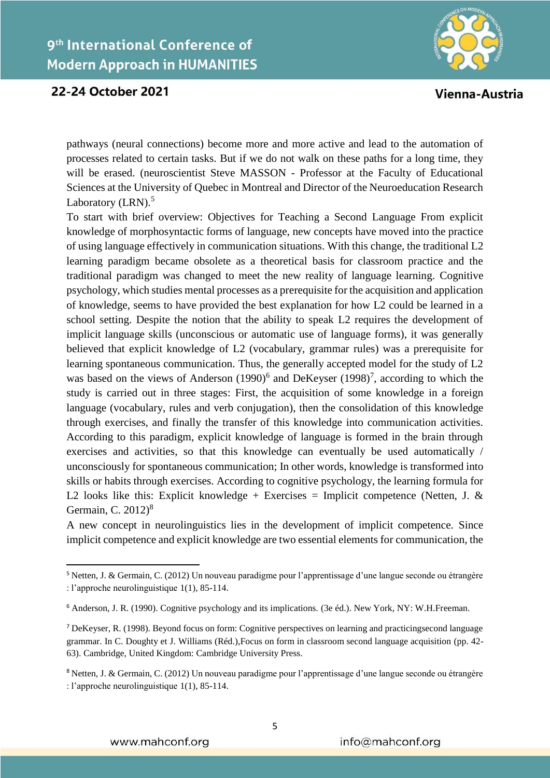

Vienna-Austria

pathways (neural connections) become more and more active and lead to the automation of processes related to certain tasks. But if we do not walk on these paths for a long time, they will be erased. (neuroscientist Steve MASSON - Professor at the Faculty of Educational Sciences at the University of Quebec in Montreal and Director of the Neuroeducation Research Laboratory (LRN).<sup>5</sup>

To start with brief overview: Objectives for Teaching a Second Language From explicit knowledge of morphosyntactic forms of language, new concepts have moved into the practice of using language effectively in communication situations. With this change, the traditional L2 learning paradigm became obsolete as a theoretical basis for classroom practice and the traditional paradigm was changed to meet the new reality of language learning. Cognitive psychology, which studies mental processes as a prerequisite for the acquisition and application of knowledge, seems to have provided the best explanation for how L2 could be learned in a school setting. Despite the notion that the ability to speak L2 requires the development of implicit language skills (unconscious or automatic use of language forms), it was generally believed that explicit knowledge of L2 (vocabulary, grammar rules) was a prerequisite for learning spontaneous communication. Thus, the generally accepted model for the study of L2 was based on the views of Anderson  $(1990)^6$  and DeKeyser  $(1998)^7$ , according to which the study is carried out in three stages: First, the acquisition of some knowledge in a foreign language (vocabulary, rules and verb conjugation), then the consolidation of this knowledge through exercises, and finally the transfer of this knowledge into communication activities. According to this paradigm, explicit knowledge of language is formed in the brain through exercises and activities, so that this knowledge can eventually be used automatically / unconsciously for spontaneous communication; In other words, knowledge is transformed into skills or habits through exercises. According to cognitive psychology, the learning formula for L2 looks like this: Explicit knowledge + Exercises = Implicit competence (Netten, J. & Germain, C.  $2012$ <sup>8</sup>

A new concept in neurolinguistics lies in the development of implicit competence. Since implicit competence and explicit knowledge are two essential elements for communication, the

 $\overline{\phantom{a}}$ 

<sup>5</sup> Netten, J. & Germain, C. (2012) Un nouveau paradigme pour l'apprentissage d'une langue seconde ou étrangère : l'approche neurolinguistique 1(1), 85-114.

<sup>6</sup> Anderson, J. R. (1990). Cognitive psychology and its implications. (3e éd.). New York, NY: W.H.Freeman.

<sup>7</sup> DeKeyser, R. (1998). Beyond focus on form: Cognitive perspectives on learning and practicingsecond language grammar. In C. Doughty et J. Williams (Réd.),Focus on form in classroom second language acquisition (pp. 42- 63). Cambridge, United Kingdom: Cambridge University Press.

<sup>8</sup> Netten, J. & Germain, C. (2012) Un nouveau paradigme pour l'apprentissage d'une langue seconde ou étrangère : l'approche neurolinguistique 1(1), 85-114.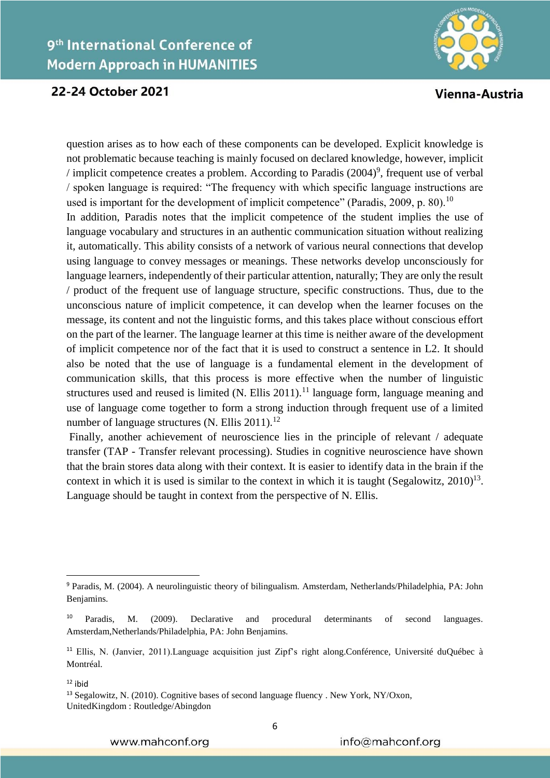

Vienna-Austria

question arises as to how each of these components can be developed. Explicit knowledge is not problematic because teaching is mainly focused on declared knowledge, however, implicit */* implicit competence creates a problem. According to Paradis  $(2004)^9$ , frequent use of verbal / spoken language is required: "The frequency with which specific language instructions are used is important for the development of implicit competence" (Paradis, 2009, p. 80).<sup>10</sup> In addition, Paradis notes that the implicit competence of the student implies the use of language vocabulary and structures in an authentic communication situation without realizing it, automatically. This ability consists of a network of various neural connections that develop using language to convey messages or meanings. These networks develop unconsciously for language learners, independently of their particular attention, naturally; They are only the result / product of the frequent use of language structure, specific constructions. Thus, due to the unconscious nature of implicit competence, it can develop when the learner focuses on the message, its content and not the linguistic forms, and this takes place without conscious effort on the part of the learner. The language learner at this time is neither aware of the development of implicit competence nor of the fact that it is used to construct a sentence in L2. It should also be noted that the use of language is a fundamental element in the development of communication skills, that this process is more effective when the number of linguistic structures used and reused is limited  $(N.$  Ellis 2011).<sup>11</sup> language form, language meaning and use of language come together to form a strong induction through frequent use of a limited number of language structures (N. Ellis 2011).<sup>12</sup>

Finally, another achievement of neuroscience lies in the principle of relevant / adequate transfer (TAP - Transfer relevant processing). Studies in cognitive neuroscience have shown that the brain stores data along with their context. It is easier to identify data in the brain if the context in which it is used is similar to the context in which it is taught (Segalowitz,  $2010$ )<sup>13</sup>. Language should be taught in context from the perspective of N. Ellis.

1

<sup>9</sup> Paradis, M. (2004). A neurolinguistic theory of bilingualism. Amsterdam, Netherlands/Philadelphia, PA: John Benjamins.

<sup>&</sup>lt;sup>10</sup> Paradis, M. (2009). Declarative and procedural determinants of second languages. Amsterdam,Netherlands/Philadelphia, PA: John Benjamins.

<sup>&</sup>lt;sup>11</sup> Ellis, N. (Janvier, 2011).Language acquisition just Zipf's right along.Conférence, Université duQuébec à Montréal.

 $12$  ibid

<sup>&</sup>lt;sup>13</sup> Segalowitz, N. (2010). Cognitive bases of second language fluency . New York, NY/Oxon, UnitedKingdom : Routledge/Abingdon